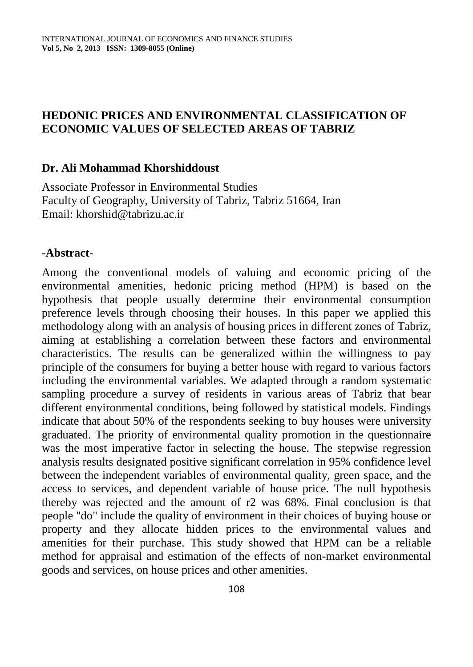### **HEDONIC PRICES AND ENVIRONMENTAL CLASSIFICATION OF ECONOMIC VALUES OF SELECTED AREAS OF TABRIZ**

#### **Dr. Ali Mohammad Khorshiddoust**

Associate Professor in Environmental Studies Faculty of Geography, University of Tabriz, Tabriz 51664, Iran Email: khorshid@tabrizu.ac.ir

#### -**Abstract**-

Among the conventional models of valuing and economic pricing of the environmental amenities, hedonic pricing method (HPM) is based on the hypothesis that people usually determine their environmental consumption preference levels through choosing their houses. In this paper we applied this methodology along with an analysis of housing prices in different zones of Tabriz, aiming at establishing a correlation between these factors and environmental characteristics. The results can be generalized within the willingness to pay principle of the consumers for buying a better house with regard to various factors including the environmental variables. We adapted through a random systematic sampling procedure a survey of residents in various areas of Tabriz that bear different environmental conditions, being followed by statistical models. Findings indicate that about 50% of the respondents seeking to buy houses were university graduated. The priority of environmental quality promotion in the questionnaire was the most imperative factor in selecting the house. The stepwise regression analysis results designated positive significant correlation in 95% confidence level between the independent variables of environmental quality, green space, and the access to services, and dependent variable of house price. The null hypothesis thereby was rejected and the amount of r2 was 68%. Final conclusion is that people "do" include the quality of environment in their choices of buying house or property and they allocate hidden prices to the environmental values and amenities for their purchase. This study showed that HPM can be a reliable method for appraisal and estimation of the effects of non-market environmental goods and services, on house prices and other amenities.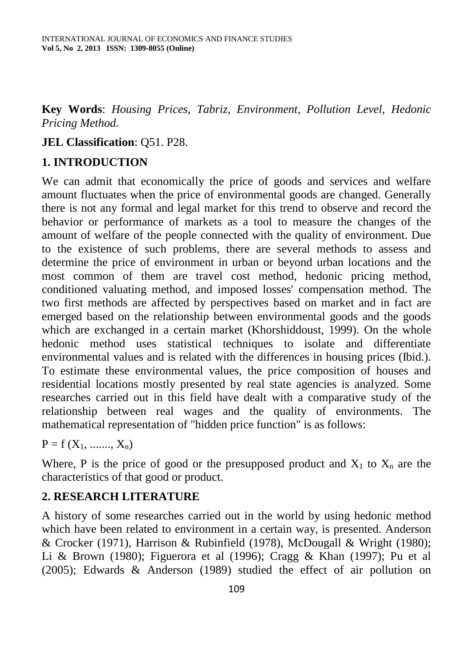**Key Words**: *[Housing Prices,](http://journals.ut.ac.ir/page/search-page.html?jourId=12&text=Housing+Prices&option=keywords) [Tabriz,](http://journals.ut.ac.ir/page/search-page.html?jourId=12&text=Tabriz&option=keywords) [Environment,](http://journals.ut.ac.ir/page/search-page.html?jourId=12&text=Environment&option=keywords) [Pollution Level,](http://journals.ut.ac.ir/page/search-page.html?jourId=12&text=Pollution+Level&option=keywords) [Hedonic](http://journals.ut.ac.ir/page/search-page.html?jourId=12&text=Hedonic+Pricing+Method&option=keywords)  [Pricing Method.](http://journals.ut.ac.ir/page/search-page.html?jourId=12&text=Hedonic+Pricing+Method&option=keywords)* 

### **JEL Classification**: Q51. P28.

# **1. INTRODUCTION**

We can admit that economically the price of goods and services and welfare amount fluctuates when the price of environmental goods are changed. Generally there is not any formal and legal market for this trend to observe and record the behavior or performance of markets as a tool to measure the changes of the amount of welfare of the people connected with the quality of environment. Due to the existence of such problems, there are several methods to assess and determine the price of environment in urban or beyond urban locations and the most common of them are travel cost method, hedonic pricing method, conditioned valuating method, and imposed losses' compensation method. The two first methods are affected by perspectives based on market and in fact are emerged based on the relationship between environmental goods and the goods which are exchanged in a certain market (Khorshiddoust, 1999). On the whole hedonic method uses statistical techniques to isolate and differentiate environmental values and is related with the differences in housing prices (Ibid.). To estimate these environmental values, the price composition of houses and residential locations mostly presented by real state agencies is analyzed. Some researches carried out in this field have dealt with a comparative study of the relationship between real wages and the quality of environments. The mathematical representation of "hidden price function" is as follows:

 $P = f(X_1, \ldots, X_n)$ 

Where, P is the price of good or the presupposed product and  $X_1$  to  $X_n$  are the characteristics of that good or product.

#### **2. RESEARCH LITERATURE**

A history of some researches carried out in the world by using hedonic method which have been related to environment in a certain way, is presented. Anderson & Crocker (1971), Harrison & Rubinfield (1978), McDougall & Wright (1980); Li & Brown (1980); Figuerora et al (1996); Cragg & Khan (1997); Pu et al (2005); Edwards & Anderson (1989) studied the effect of air pollution on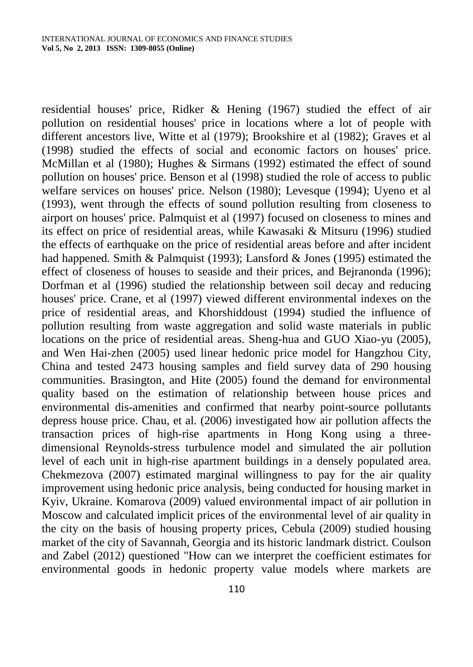residential houses' price, Ridker & Hening (1967) studied the effect of air pollution on residential houses' price in locations where a lot of people with different ancestors live, Witte et al (1979); Brookshire et al (1982); Graves et al (1998) studied the effects of social and economic factors on houses' price. McMillan et al (1980); Hughes & Sirmans (1992) estimated the effect of sound pollution on houses' price. Benson et al (1998) studied the role of access to public welfare services on houses' price. Nelson (1980); Levesque (1994); Uyeno et al (1993), went through the effects of sound pollution resulting from closeness to airport on houses' price. Palmquist et al (1997) focused on closeness to mines and its effect on price of residential areas, while Kawasaki & Mitsuru (1996) studied the effects of earthquake on the price of residential areas before and after incident had happened. Smith & Palmquist (1993); Lansford & Jones (1995) estimated the effect of closeness of houses to seaside and their prices, and Bejranonda (1996); Dorfman et al (1996) studied the relationship between soil decay and reducing houses' price. Crane, et al (1997) viewed different environmental indexes on the price of residential areas, and Khorshiddoust (1994) studied the influence of pollution resulting from waste aggregation and solid waste materials in public locations on the price of residential areas. Sheng-hua and GUO Xiao-yu (2005), and Wen Hai-zhen (2005) used linear hedonic price model for Hangzhou City, China and tested 2473 housing samples and field survey data of 290 housing communities. Brasington, and Hite (2005) found the demand for environmental quality based on the estimation of relationship between house prices and environmental dis-amenities and confirmed that nearby point-source pollutants depress house price. Chau, et al. (2006) investigated how air pollution affects the transaction prices of high-rise apartments in Hong Kong using a threedimensional Reynolds-stress turbulence model and simulated the air pollution level of each unit in high-rise apartment buildings in a densely populated area. Chekmezova (2007) estimated marginal willingness to pay for the air quality improvement using hedonic price analysis, being conducted for housing market in Kyiv, Ukraine. Komarova (2009) valued environmental impact of air pollution in Moscow and calculated implicit prices of the environmental level of air quality in the city on the basis of housing property prices, Cebula (2009) studied housing market of the city of Savannah, Georgia and its historic landmark district. Coulson and Zabel (2012) questioned "How can we interpret the coefficient estimates for environmental goods in hedonic property value models where markets are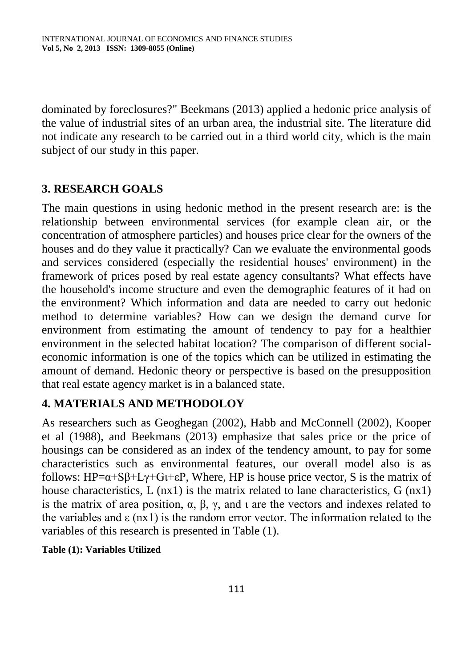dominated by foreclosures?" Beekmans (2013) applied a hedonic price analysis of the value of industrial sites of an urban area, the industrial site. The literature did not indicate any research to be carried out in a third world city, which is the main subject of our study in this paper.

# **3. RESEARCH GOALS**

The main questions in using hedonic method in the present research are: is the relationship between environmental services (for example clean air, or the concentration of atmosphere particles) and houses price clear for the owners of the houses and do they value it practically? Can we evaluate the environmental goods and services considered (especially the residential houses' environment) in the framework of prices posed by real estate agency consultants? What effects have the household's income structure and even the demographic features of it had on the environment? Which information and data are needed to carry out hedonic method to determine variables? How can we design the demand curve for environment from estimating the amount of tendency to pay for a healthier environment in the selected habitat location? The comparison of different socialeconomic information is one of the topics which can be utilized in estimating the amount of demand. Hedonic theory or perspective is based on the presupposition that real estate agency market is in a balanced state.

# **4. MATERIALS AND METHODOLOY**

As researchers such as Geoghegan (2002), Habb and McConnell (2002), Kooper et al (1988), and Beekmans (2013) emphasize that sales price or the price of housings can be considered as an index of the tendency amount, to pay for some characteristics such as environmental features, our overall model also is as follows:  $HP = \alpha + S\beta + L\gamma + G\beta + E$ , Where, HP is house price vector, S is the matrix of house characteristics,  $L$  (nx1) is the matrix related to lane characteristics,  $G$  (nx1) is the matrix of area position, α, β, γ, and ι are the vectors and indexes related to the variables and  $\varepsilon$  (nx1) is the random error vector. The information related to the variables of this research is presented in Table (1).

#### **Table (1): Variables Utilized**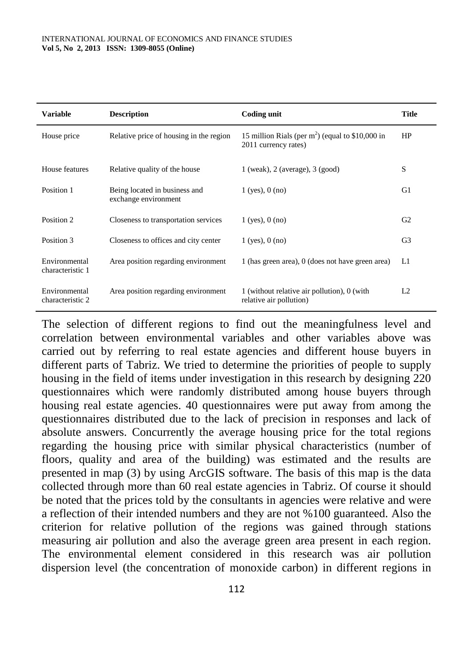| <b>Variable</b>                   | <b>Description</b>                                    | Coding unit                                                                | <b>Title</b>   |
|-----------------------------------|-------------------------------------------------------|----------------------------------------------------------------------------|----------------|
| House price                       | Relative price of housing in the region               | 15 million Rials (per $m2$ ) (equal to \$10,000 in<br>2011 currency rates) | HP             |
| House features                    | Relative quality of the house                         | $1$ (weak), $2$ (average), $3$ (good)                                      | S              |
| Position 1                        | Being located in business and<br>exchange environment | $1$ (yes), $0$ (no)                                                        | G1             |
| Position 2                        | Closeness to transportation services                  | $1$ (yes), $0$ (no)                                                        | G <sub>2</sub> |
| Position 3                        | Closeness to offices and city center                  | $1$ (yes), $0$ (no)                                                        | G <sub>3</sub> |
| Environmental<br>characteristic 1 | Area position regarding environment                   | 1 (has green area), 0 (does not have green area)                           | L1             |
| Environmental<br>characteristic 2 | Area position regarding environment                   | 1 (without relative air pollution), 0 (with<br>relative air pollution)     | L <sub>2</sub> |

The selection of different regions to find out the meaningfulness level and correlation between environmental variables and other variables above was carried out by referring to real estate agencies and different house buyers in different parts of Tabriz. We tried to determine the priorities of people to supply housing in the field of items under investigation in this research by designing 220 questionnaires which were randomly distributed among house buyers through housing real estate agencies. 40 questionnaires were put away from among the questionnaires distributed due to the lack of precision in responses and lack of absolute answers. Concurrently the average housing price for the total regions regarding the housing price with similar physical characteristics (number of floors, quality and area of the building) was estimated and the results are presented in map (3) by using ArcGIS software. The basis of this map is the data collected through more than 60 real estate agencies in Tabriz. Of course it should be noted that the prices told by the consultants in agencies were relative and were a reflection of their intended numbers and they are not %100 guaranteed. Also the criterion for relative pollution of the regions was gained through stations measuring air pollution and also the average green area present in each region. The environmental element considered in this research was air pollution dispersion level (the concentration of monoxide carbon) in different regions in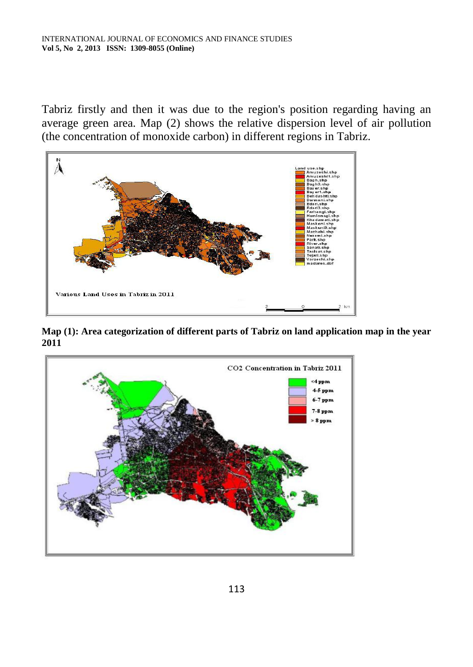Tabriz firstly and then it was due to the region's position regarding having an average green area. Map (2) shows the relative dispersion level of air pollution (the concentration of monoxide carbon) in different regions in Tabriz.



**Map (1): Area categorization of different parts of Tabriz on land application map in the year 2011**

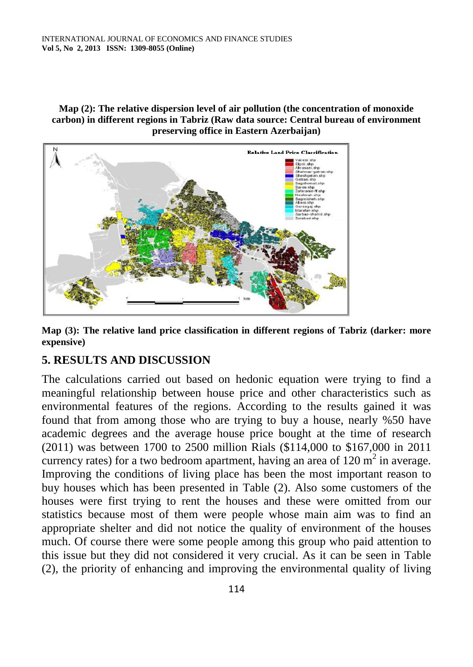#### **Map (2): The relative dispersion level of air pollution (the concentration of monoxide carbon) in different regions in Tabriz (Raw data source: Central bureau of environment preserving office in Eastern Azerbaijan)**



**Map (3): The relative land price classification in different regions of Tabriz (darker: more expensive)**

# **5. RESULTS AND DISCUSSION**

The calculations carried out based on hedonic equation were trying to find a meaningful relationship between house price and other characteristics such as environmental features of the regions. According to the results gained it was found that from among those who are trying to buy a house, nearly %50 have academic degrees and the average house price bought at the time of research (2011) was between 1700 to 2500 million Rials (\$114,000 to \$167,000 in 2011 currency rates) for a two bedroom apartment, having an area of  $120 \text{ m}^2$  in average. Improving the conditions of living place has been the most important reason to buy houses which has been presented in Table (2). Also some customers of the houses were first trying to rent the houses and these were omitted from our statistics because most of them were people whose main aim was to find an appropriate shelter and did not notice the quality of environment of the houses much. Of course there were some people among this group who paid attention to this issue but they did not considered it very crucial. As it can be seen in Table (2), the priority of enhancing and improving the environmental quality of living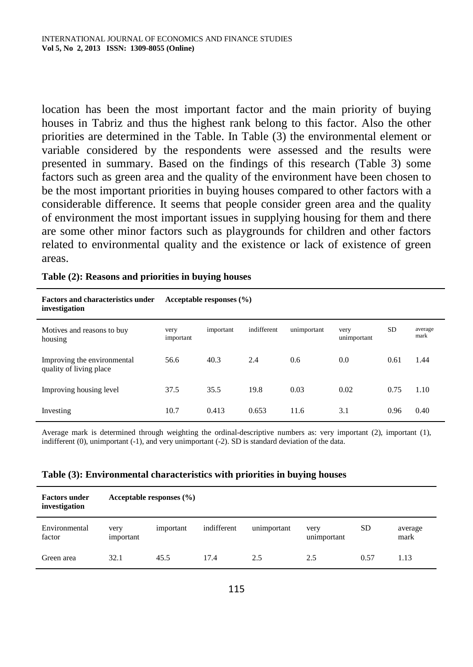location has been the most important factor and the main priority of buying houses in Tabriz and thus the highest rank belong to this factor. Also the other priorities are determined in the Table. In Table (3) the environmental element or variable considered by the respondents were assessed and the results were presented in summary. Based on the findings of this research (Table 3) some factors such as green area and the quality of the environment have been chosen to be the most important priorities in buying houses compared to other factors with a considerable difference. It seems that people consider green area and the quality of environment the most important issues in supplying housing for them and there are some other minor factors such as playgrounds for children and other factors related to environmental quality and the existence or lack of existence of green areas.

| Table (2): Reasons and priorities in buying houses |  |  |  |  |  |  |
|----------------------------------------------------|--|--|--|--|--|--|
|----------------------------------------------------|--|--|--|--|--|--|

| <b>Factors and characteristics under</b><br>investigation | Acceptable responses $(\% )$ |           |             |             |                     |      |                 |  |  |
|-----------------------------------------------------------|------------------------------|-----------|-------------|-------------|---------------------|------|-----------------|--|--|
| Motives and reasons to buy<br>housing                     | very<br>important            | important | indifferent | unimportant | very<br>unimportant | SD.  | average<br>mark |  |  |
| Improving the environmental<br>quality of living place    | 56.6                         | 40.3      | 2.4         | 0.6         | 0.0                 | 0.61 | 1.44            |  |  |
| Improving housing level                                   | 37.5                         | 35.5      | 19.8        | 0.03        | 0.02                | 0.75 | 1.10            |  |  |
| Investing                                                 | 10.7                         | 0.413     | 0.653       | 11.6        | 3.1                 | 0.96 | 0.40            |  |  |

Average mark is determined through weighting the ordinal-descriptive numbers as: very important (2), important (1), indifferent (0), unimportant (-1), and very unimportant (-2). SD is standard deviation of the data.

| Table (3): Environmental characteristics with priorities in buying houses |  |  |
|---------------------------------------------------------------------------|--|--|
|---------------------------------------------------------------------------|--|--|

| <b>Factors under</b><br>investigation | Acceptable responses $(\% )$ |           |             |             |                     |      |                 |
|---------------------------------------|------------------------------|-----------|-------------|-------------|---------------------|------|-----------------|
| Environmental<br>factor               | very<br>important            | important | indifferent | unimportant | very<br>unimportant | SD.  | average<br>mark |
| Green area                            | 32.1                         | 45.5      | 17.4        | 2.5         | 2.5                 | 0.57 | 1.13            |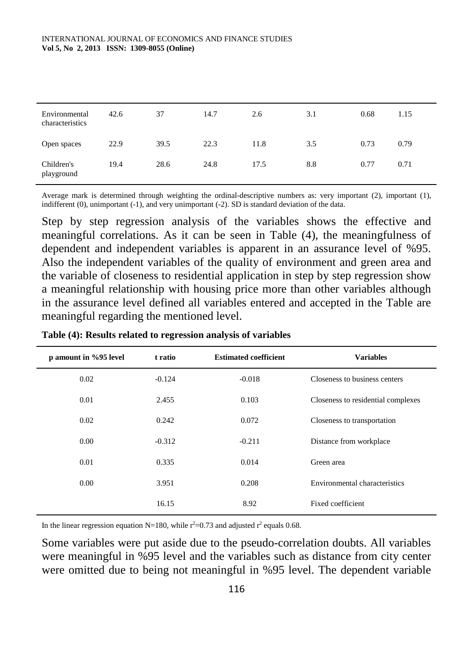| Environmental<br>characteristics | 42.6 | 37   | 14.7 | 2.6  | 3.1 | 0.68 | 1.15 |
|----------------------------------|------|------|------|------|-----|------|------|
| Open spaces                      | 22.9 | 39.5 | 22.3 | 11.8 | 3.5 | 0.73 | 0.79 |
| Children's<br>playground         | 19.4 | 28.6 | 24.8 | 17.5 | 8.8 | 0.77 | 0.71 |

Average mark is determined through weighting the ordinal-descriptive numbers as: very important (2), important (1), indifferent (0), unimportant (-1), and very unimportant (-2). SD is standard deviation of the data.

Step by step regression analysis of the variables shows the effective and meaningful correlations. As it can be seen in Table (4), the meaningfulness of dependent and independent variables is apparent in an assurance level of %95. Also the independent variables of the quality of environment and green area and the variable of closeness to residential application in step by step regression show a meaningful relationship with housing price more than other variables although in the assurance level defined all variables entered and accepted in the Table are meaningful regarding the mentioned level.

| p amount in %95 level | t ratio  | <b>Estimated coefficient</b> | <b>Variables</b>                   |
|-----------------------|----------|------------------------------|------------------------------------|
| 0.02                  | $-0.124$ | $-0.018$                     | Closeness to business centers      |
| 0.01                  | 2.455    | 0.103                        | Closeness to residential complexes |
| 0.02                  | 0.242    | 0.072                        | Closeness to transportation        |
| 0.00                  | $-0.312$ | $-0.211$                     | Distance from workplace            |
| 0.01                  | 0.335    | 0.014                        | Green area                         |
| 0.00                  | 3.951    | 0.208                        | Environmental characteristics      |
|                       | 16.15    | 8.92                         | Fixed coefficient                  |

**Table (4): Results related to regression analysis of variables**

In the linear regression equation N=180, while  $r^2$ =0.73 and adjusted  $r^2$  equals 0.68.

Some variables were put aside due to the pseudo-correlation doubts. All variables were meaningful in %95 level and the variables such as distance from city center were omitted due to being not meaningful in %95 level. The dependent variable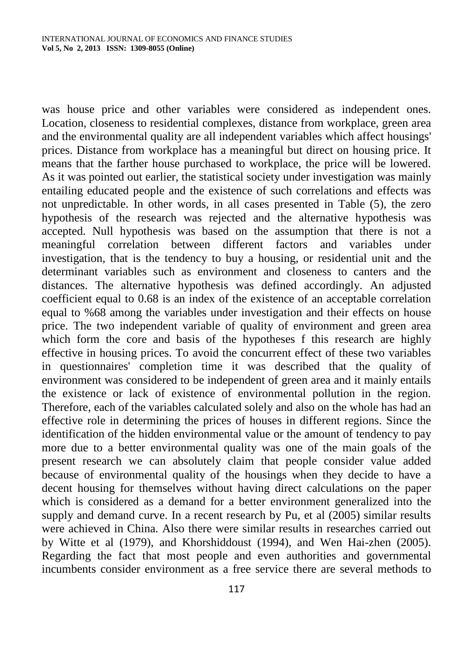was house price and other variables were considered as independent ones. Location, closeness to residential complexes, distance from workplace, green area and the environmental quality are all independent variables which affect housings' prices. Distance from workplace has a meaningful but direct on housing price. It means that the farther house purchased to workplace, the price will be lowered. As it was pointed out earlier, the statistical society under investigation was mainly entailing educated people and the existence of such correlations and effects was not unpredictable. In other words, in all cases presented in Table (5), the zero hypothesis of the research was rejected and the alternative hypothesis was accepted. Null hypothesis was based on the assumption that there is not a meaningful correlation between different factors and variables under investigation, that is the tendency to buy a housing, or residential unit and the determinant variables such as environment and closeness to canters and the distances. The alternative hypothesis was defined accordingly. An adjusted coefficient equal to 0.68 is an index of the existence of an acceptable correlation equal to %68 among the variables under investigation and their effects on house price. The two independent variable of quality of environment and green area which form the core and basis of the hypotheses f this research are highly effective in housing prices. To avoid the concurrent effect of these two variables in questionnaires' completion time it was described that the quality of environment was considered to be independent of green area and it mainly entails the existence or lack of existence of environmental pollution in the region. Therefore, each of the variables calculated solely and also on the whole has had an effective role in determining the prices of houses in different regions. Since the identification of the hidden environmental value or the amount of tendency to pay more due to a better environmental quality was one of the main goals of the present research we can absolutely claim that people consider value added because of environmental quality of the housings when they decide to have a decent housing for themselves without having direct calculations on the paper which is considered as a demand for a better environment generalized into the supply and demand curve. In a recent research by Pu, et al (2005) similar results were achieved in China. Also there were similar results in researches carried out by Witte et al (1979), and Khorshiddoust (1994), and Wen Hai-zhen (2005). Regarding the fact that most people and even authorities and governmental incumbents consider environment as a free service there are several methods to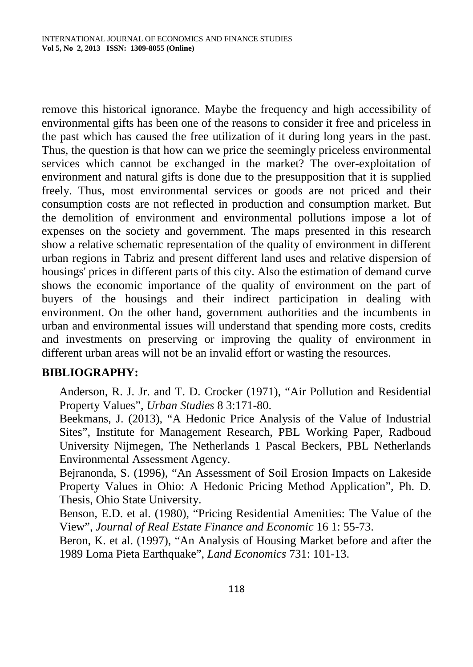remove this historical ignorance. Maybe the frequency and high accessibility of environmental gifts has been one of the reasons to consider it free and priceless in the past which has caused the free utilization of it during long years in the past. Thus, the question is that how can we price the seemingly priceless environmental services which cannot be exchanged in the market? The over-exploitation of environment and natural gifts is done due to the presupposition that it is supplied freely. Thus, most environmental services or goods are not priced and their consumption costs are not reflected in production and consumption market. But the demolition of environment and environmental pollutions impose a lot of expenses on the society and government. The maps presented in this research show a relative schematic representation of the quality of environment in different urban regions in Tabriz and present different land uses and relative dispersion of housings' prices in different parts of this city. Also the estimation of demand curve shows the economic importance of the quality of environment on the part of buyers of the housings and their indirect participation in dealing with environment. On the other hand, government authorities and the incumbents in urban and environmental issues will understand that spending more costs, credits and investments on preserving or improving the quality of environment in different urban areas will not be an invalid effort or wasting the resources.

#### **BIBLIOGRAPHY:**

Anderson, R. J. Jr. and T. D. Crocker (1971), "Air Pollution and Residential Property Values", *Urban Studies* 8 3:171-80.

Beekmans, J. (2013), "A Hedonic Price Analysis of the Value of Industrial Sites", Institute for Management Research, PBL Working Paper, Radboud University Nijmegen, The Netherlands 1 Pascal Beckers, PBL Netherlands Environmental Assessment Agency.

Bejranonda, S. (1996), "An Assessment of Soil Erosion Impacts on Lakeside Property Values in Ohio: A Hedonic Pricing Method Application", Ph. D. Thesis, Ohio State University.

Benson, E.D. et al. (1980), "Pricing Residential Amenities: The Value of the View", *Journal of Real Estate Finance and Economic* 16 1: 55-73.

Beron, K. et al. (1997), "An Analysis of Housing Market before and after the 1989 Loma Pieta Earthquake", *Land Economics* 731: 101-13.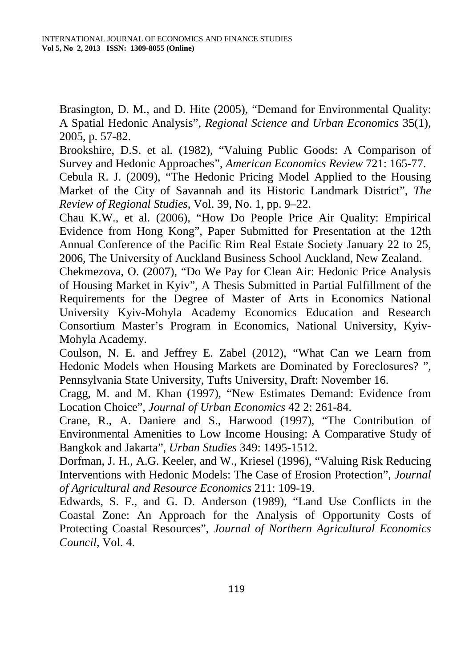Brasington, D. M., and D. Hite (2005), "Demand for Environmental Quality: A Spatial Hedonic Analysis", *Regional Science and Urban Economics* 35(1), 2005, p. 57-82.

Brookshire, D.S. et al. (1982), "Valuing Public Goods: A Comparison of Survey and Hedonic Approaches", *American Economics Review* 721: 165-77.

Cebula R. J. (2009), "The Hedonic Pricing Model Applied to the Housing Market of the City of Savannah and its Historic Landmark District", *The Review of Regional Studies*, Vol. 39, No. 1, pp. 9–22.

Chau K.W., et al. (2006), "How Do People Price Air Quality: Empirical Evidence from Hong Kong", Paper Submitted for Presentation at the 12th Annual Conference of the Pacific Rim Real Estate Society January 22 to 25, 2006, The University of Auckland Business School Auckland, New Zealand.

Chekmezova, O. (2007), "Do We Pay for Clean Air: Hedonic Price Analysis of Housing Market in Kyiv", A Thesis Submitted in Partial Fulfillment of the Requirements for the Degree of Master of Arts in Economics National University Kyiv-Mohyla Academy Economics Education and Research Consortium Master's Program in Economics, National University, Kyiv-Mohyla Academy.

Coulson, N. E. and Jeffrey E. Zabel (2012), "What Can we Learn from Hedonic Models when Housing Markets are Dominated by Foreclosures? ", Pennsylvania State University, Tufts University, Draft: November 16.

Cragg, M. and M. Khan (1997), "New Estimates Demand: Evidence from Location Choice", *Journal of Urban Economics* 42 2: 261-84.

Crane, R., A. Daniere and S., Harwood (1997), "The Contribution of Environmental Amenities to Low Income Housing: A Comparative Study of Bangkok and Jakarta", *Urban Studies* 349: 1495-1512.

Dorfman, J. H., A.G. Keeler, and W., Kriesel (1996), "Valuing Risk Reducing Interventions with Hedonic Models: The Case of Erosion Protection", *Journal of Agricultural and Resource Economics* 211: 109-19.

Edwards, S. F., and G. D. Anderson (1989), "Land Use Conflicts in the Coastal Zone: An Approach for the Analysis of Opportunity Costs of Protecting Coastal Resources", *Journal of Northern Agricultural Economics Council*, Vol. 4.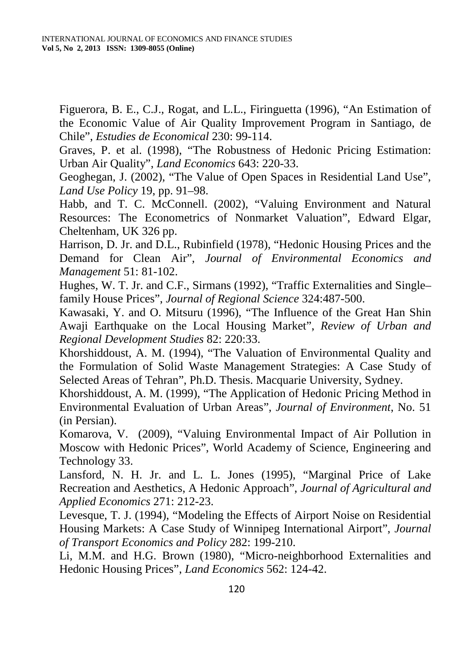Figuerora, B. E., C.J., Rogat, and L.L., Firinguetta (1996), "An Estimation of the Economic Value of Air Quality Improvement Program in Santiago, de Chile", *Estudies de Economical* 230: 99-114.

Graves, P. et al. (1998), "The Robustness of Hedonic Pricing Estimation: Urban Air Quality", *Land Economics* 643: 220-33.

Geoghegan, J. (2002), "The Value of Open Spaces in Residential Land Use", *Land Use Policy* 19, pp. 91–98.

Habb, and T. C. McConnell. (2002), "Valuing Environment and Natural Resources: The Econometrics of Nonmarket Valuation", Edward Elgar, Cheltenham, UK 326 pp.

Harrison, D. Jr. and D.L., Rubinfield (1978), "Hedonic Housing Prices and the Demand for Clean Air", *Journal of Environmental Economics and Management* 51: 81-102.

Hughes, W. T. Jr. and C.F., Sirmans (1992), "Traffic Externalities and Single– family House Prices", *Journal of Regional Science* 324:487-500.

Kawasaki, Y. and O. Mitsuru (1996), "The Influence of the Great Han Shin Awaji Earthquake on the Local Housing Market", *Review of Urban and Regional Development Studies* 82: 220:33.

Khorshiddoust, A. M. (1994), "The Valuation of Environmental Quality and the Formulation of Solid Waste Management Strategies: A Case Study of Selected Areas of Tehran", Ph.D. Thesis. Macquarie University, Sydney.

Khorshiddoust, A. M. (1999), "The Application of Hedonic Pricing Method in Environmental Evaluation of Urban Areas", *Journal of Environment*, No. 51 (in Persian).

Komarova, V. (2009), "Valuing Environmental Impact of Air Pollution in Moscow with Hedonic Prices", World Academy of Science, Engineering and Technology 33.

Lansford, N. H. Jr. and L. L. Jones (1995), "Marginal Price of Lake Recreation and Aesthetics, A Hedonic Approach", *Journal of Agricultural and Applied Economics* 271: 212-23.

Levesque, T. J. (1994), "Modeling the Effects of Airport Noise on Residential Housing Markets: A Case Study of Winnipeg International Airport", *Journal of Transport Economics and Policy* 282: 199-210.

Li, M.M. and H.G. Brown (1980), "Micro-neighborhood Externalities and Hedonic Housing Prices", *Land Economics* 562: 124-42.